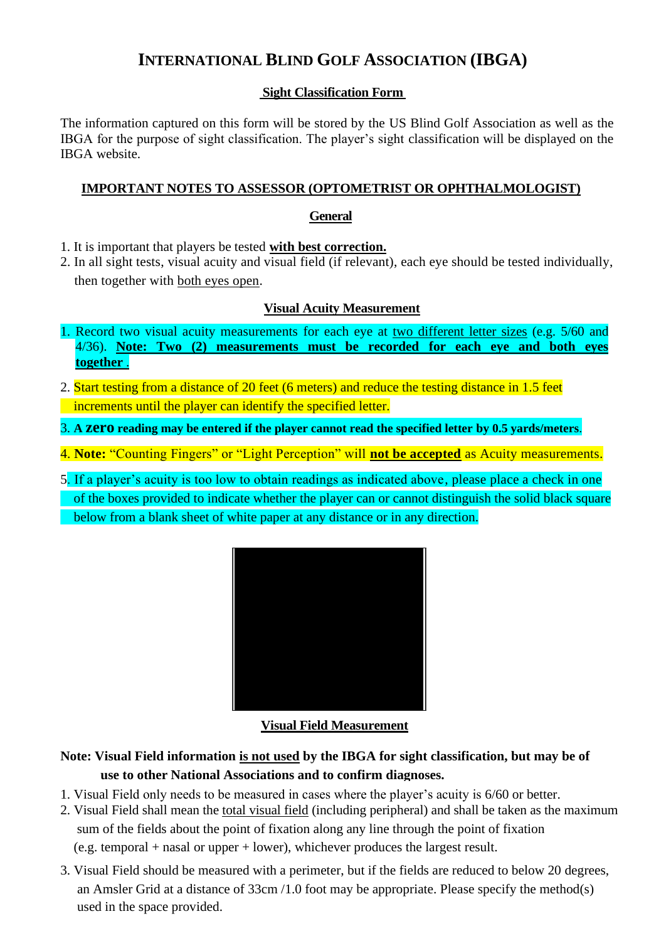# **INTERNATIONAL BLIND GOLF ASSOCIATION (IBGA)**

### **Sight Classification Form**

The information captured on this form will be stored by the US Blind Golf Association as well as the IBGA for the purpose of sight classification. The player's sight classification will be displayed on the IBGA website.

### **IMPORTANT NOTES TO ASSESSOR (OPTOMETRIST OR OPHTHALMOLOGIST)**

#### **General**

- 1. It is important that players be tested **with best correction.**
- 2. In all sight tests, visual acuity and visual field (if relevant), each eye should be tested individually, then together with both eyes open.

### **Visual Acuity Measurement**

- 1. Record two visual acuity measurements for each eye at two different letter sizes (e.g. 5/60 and 4/36). **Note: Two (2) measurements must be recorded for each eye and both eyes together** .
- 2. Start testing from a distance of 20 feet (6 meters) and reduce the testing distance in 1.5 feet increments until the player can identify the specified letter.
- 3. **A zero reading may be entered if the player cannot read the specified letter by 0.5 yards/meters**.
- 4. **Note: "Counting Fingers" or "Light Perception" will <b>not be accepted** as Acuity measurements.
- 5. If a player's acuity is too low to obtain readings as indicated above, please place a check in one of the boxes provided to indicate whether the player can or cannot distinguish the solid black square below from a blank sheet of white paper at any distance or in any direction.



### **Visual Field Measurement**

## **Note: Visual Field information is not used by the IBGA for sight classification, but may be of use to other National Associations and to confirm diagnoses.**

- 1. Visual Field only needs to be measured in cases where the player's acuity is 6/60 or better.
- 2. Visual Field shall mean the total visual field (including peripheral) and shall be taken as the maximum sum of the fields about the point of fixation along any line through the point of fixation (e.g. temporal + nasal or upper + lower), whichever produces the largest result.
- 3. Visual Field should be measured with a perimeter, but if the fields are reduced to below 20 degrees, an Amsler Grid at a distance of 33cm /1.0 foot may be appropriate. Please specify the method(s) used in the space provided.